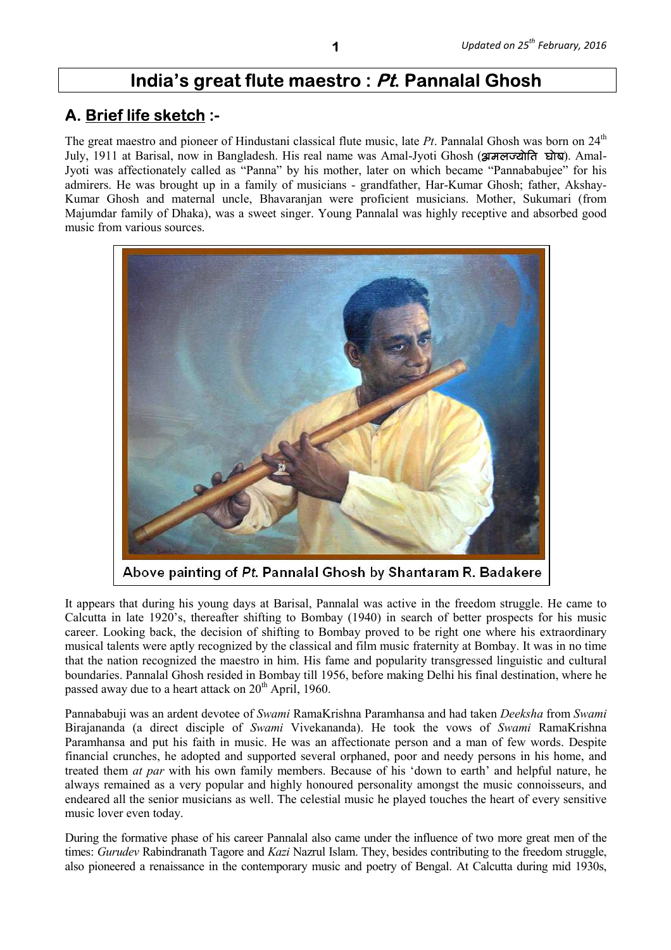# **India's great flute maestro : Pt. Pannalal Ghosh**

# **A. Brief life sketch :-**

The great maestro and pioneer of Hindustani classical flute music, late *Pt*. Pannalal Ghosh was born on 24<sup>th</sup> July, 1911 at Barisal, now in Bangladesh. His real name was Amal-Jyoti Ghosh (**द्वामलज्योति घोष**). Amal-Jyoti was affectionately called as "Panna" by his mother, later on which became "Pannababujee" for his admirers. He was brought up in a family of musicians - grandfather, Har-Kumar Ghosh; father, Akshay-Kumar Ghosh and maternal uncle, Bhavaranjan were proficient musicians. Mother, Sukumari (from Majumdar family of Dhaka), was a sweet singer. Young Pannalal was highly receptive and absorbed good music from various sources.



Above painting of Pt. Pannalal Ghosh by Shantaram R. Badakere

It appears that during his young days at Barisal, Pannalal was active in the freedom struggle. He came to Calcutta in late 1920's, thereafter shifting to Bombay (1940) in search of better prospects for his music career. Looking back, the decision of shifting to Bombay proved to be right one where his extraordinary musical talents were aptly recognized by the classical and film music fraternity at Bombay. It was in no time that the nation recognized the maestro in him. His fame and popularity transgressed linguistic and cultural boundaries. Pannalal Ghosh resided in Bombay till 1956, before making Delhi his final destination, where he passed away due to a heart attack on  $20<sup>th</sup>$  April, 1960.

Pannababuji was an ardent devotee of *Swami* RamaKrishna Paramhansa and had taken *Deeksha* from *Swami* Birajananda (a direct disciple of *Swami* Vivekananda). He took the vows of *Swami* RamaKrishna Paramhansa and put his faith in music. He was an affectionate person and a man of few words. Despite financial crunches, he adopted and supported several orphaned, poor and needy persons in his home, and treated them *at par* with his own family members. Because of his 'down to earth' and helpful nature, he always remained as a very popular and highly honoured personality amongst the music connoisseurs, and endeared all the senior musicians as well. The celestial music he played touches the heart of every sensitive music lover even today.

During the formative phase of his career Pannalal also came under the influence of two more great men of the times: *Gurudev* Rabindranath Tagore and *Kazi* Nazrul Islam. They, besides contributing to the freedom struggle, also pioneered a renaissance in the contemporary music and poetry of Bengal. At Calcutta during mid 1930s,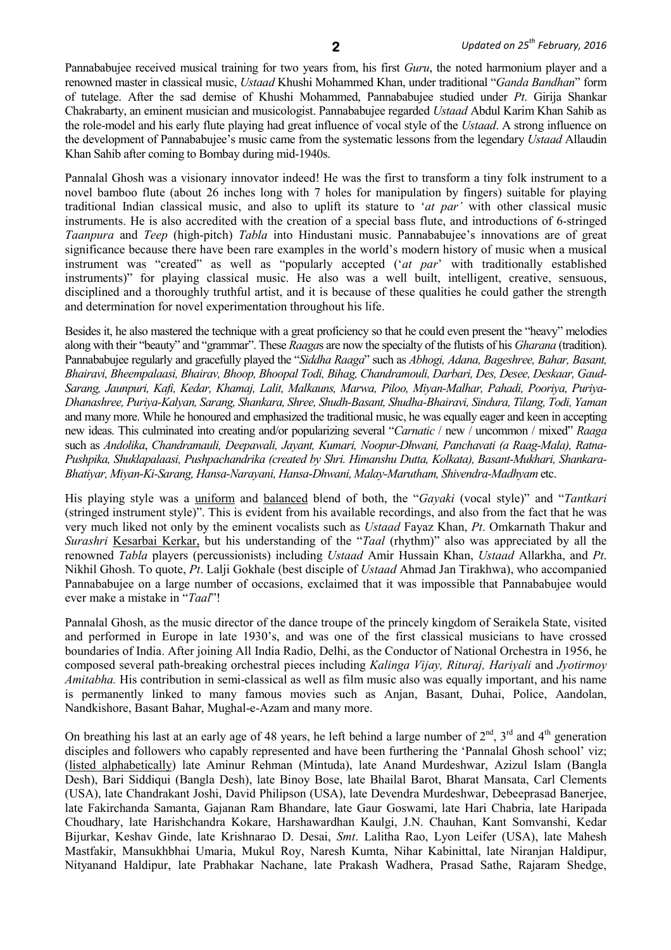Pannababujee received musical training for two years from, his first *Guru*, the noted harmonium player and a renowned master in classical music, *Ustaad* Khushi Mohammed Khan, under traditional "*Ganda Bandhan*" form of tutelage. After the sad demise of Khushi Mohammed, Pannababujee studied under *Pt*. Girija Shankar Chakrabarty, an eminent musician and musicologist. Pannababujee regarded *Ustaad* Abdul Karim Khan Sahib as the role-model and his early flute playing had great influence of vocal style of the *Ustaad*. A strong influence on the development of Pannababujee's music came from the systematic lessons from the legendary *Ustaad* Allaudin Khan Sahib after coming to Bombay during mid-1940s.

Pannalal Ghosh was a visionary innovator indeed! He was the first to transform a tiny folk instrument to a novel bamboo flute (about 26 inches long with 7 holes for manipulation by fingers) suitable for playing traditional Indian classical music, and also to uplift its stature to '*at par'* with other classical music instruments. He is also accredited with the creation of a special bass flute, and introductions of 6-stringed *Taanpura* and *Teep* (high-pitch) *Tabla* into Hindustani music. Pannababujee's innovations are of great significance because there have been rare examples in the world's modern history of music when a musical instrument was "created" as well as "popularly accepted ('*at par*' with traditionally established instruments)" for playing classical music. He also was a well built, intelligent, creative, sensuous, disciplined and a thoroughly truthful artist, and it is because of these qualities he could gather the strength and determination for novel experimentation throughout his life.

Besides it, he also mastered the technique with a great proficiency so that he could even present the "heavy" melodies along with their "beauty" and "grammar". These *Raaga*s are now the specialty of the flutists of his *Gharana* (tradition). Pannababujee regularly and gracefully played the "*Siddha Raaga*" such as *Abhogi, Adana, Bageshree, Bahar, Basant, Bhairavi, Bheempalaasi, Bhairav, Bhoop, Bhoopal Todi, Bihag, Chandramouli, Darbari, Des, Desee, Deskaar, Gaud-Sarang, Jaunpuri, Kafi, Kedar, Khamaj, Lalit, Malkauns, Marwa, Piloo, Miyan-Malhar, Pahadi, Pooriya, Puriya-Dhanashree, Puriya-Kalyan, Sarang, Shankara, Shree, Shudh-Basant, Shudha-Bhairavi, Sindura, Tilang, Todi, Yaman*  and many more. While he honoured and emphasized the traditional music, he was equally eager and keen in accepting new ideas. This culminated into creating and/or popularizing several "*Carnatic* / new / uncommon / mixed" *Raaga* such as *Andolika*, *Chandramauli, Deepawali, Jayant, Kumari, Noopur-Dhwani, Panchavati (a Raag-Mala), Ratna-Pushpika, Shuklapalaasi, Pushpachandrika (created by Shri. Himanshu Dutta, Kolkata), Basant-Mukhari, Shankara-Bhatiyar, Miyan-Ki-Sarang, Hansa-Narayani, Hansa-Dhwani, Malay-Marutham, Shivendra-Madhyam* etc.

His playing style was a uniform and balanced blend of both, the "*Gayaki* (vocal style)" and "*Tantkari* (stringed instrument style)". This is evident from his available recordings, and also from the fact that he was very much liked not only by the eminent vocalists such as *Ustaad* Fayaz Khan, *Pt*. Omkarnath Thakur and *Surashri* Kesarbai Kerkar, but his understanding of the "*Taal* (rhythm)" also was appreciated by all the renowned *Tabla* players (percussionists) including *Ustaad* Amir Hussain Khan, *Ustaad* Allarkha, and *Pt*. Nikhil Ghosh. To quote, *Pt*. Lalji Gokhale (best disciple of *Ustaad* Ahmad Jan Tirakhwa), who accompanied Pannababujee on a large number of occasions, exclaimed that it was impossible that Pannababujee would ever make a mistake in "*Taal*"!

Pannalal Ghosh, as the music director of the dance troupe of the princely kingdom of Seraikela State, visited and performed in Europe in late 1930's, and was one of the first classical musicians to have crossed boundaries of India. After joining All India Radio, Delhi, as the Conductor of National Orchestra in 1956, he composed several path-breaking orchestral pieces including *Kalinga Vijay, Rituraj, Hariyali* and *Jyotirmoy Amitabha.* His contribution in semi-classical as well as film music also was equally important, and his name is permanently linked to many famous movies such as Anjan, Basant, Duhai, Police, Aandolan, Nandkishore, Basant Bahar, Mughal-e-Azam and many more.

On breathing his last at an early age of 48 years, he left behind a large number of  $2^{nd}$ ,  $3^{rd}$  and  $4^{th}$  generation disciples and followers who capably represented and have been furthering the 'Pannalal Ghosh school' viz; (listed alphabetically) late Aminur Rehman (Mintuda), late Anand Murdeshwar, Azizul Islam (Bangla Desh), Bari Siddiqui (Bangla Desh), late Binoy Bose, late Bhailal Barot, Bharat Mansata, Carl Clements (USA), late Chandrakant Joshi, David Philipson (USA), late Devendra Murdeshwar, Debeeprasad Banerjee, late Fakirchanda Samanta, Gajanan Ram Bhandare, late Gaur Goswami, late Hari Chabria, late Haripada Choudhary, late Harishchandra Kokare, Harshawardhan Kaulgi, J.N. Chauhan, Kant Somvanshi, Kedar Bijurkar, Keshav Ginde, late Krishnarao D. Desai, *Smt*. Lalitha Rao, Lyon Leifer (USA), late Mahesh Mastfakir, Mansukhbhai Umaria, Mukul Roy, Naresh Kumta, Nihar Kabinittal, late Niranjan Haldipur, Nityanand Haldipur, late Prabhakar Nachane, late Prakash Wadhera, Prasad Sathe, Rajaram Shedge,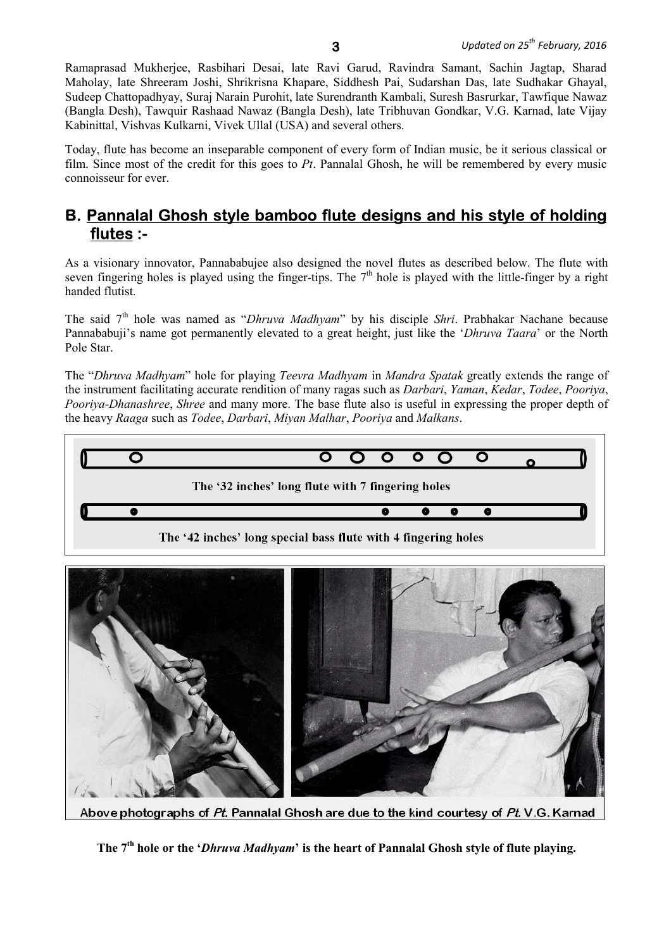Ramaprasad Mukherjee, Rasbihari Desai, late Ravi Garud, Ravindra Samant, Sachin Jagtap, Sharad Maholay, late Shreeram Joshi, Shrikrisna Khapare, Siddhesh Pai, Sudarshan Das, late Sudhakar Ghayal, Sudeep Chattopadhyay, Suraj Narain Purohit, late Surendranth Kambali, Suresh Basrurkar, Tawfique Nawaz (Bangla Desh), Tawquir Rashaad Nawaz (Bangla Desh), late Tribhuvan Gondkar, V.G. Karnad, late Vijay Kabinittal, Vishvas Kulkarni, Vivek Ullal (USA) and several others.

Today, flute has become an inseparable component of every form of Indian music, be it serious classical or film. Since most of the credit for this goes to *Pt*. Pannalal Ghosh, he will be remembered by every music connoisseur for ever.

## **B. Pannalal Ghosh style bamboo flute designs and his style of holding flutes :-**

As a visionary innovator, Pannababujee also designed the novel flutes as described below. The flute with seven fingering holes is played using the finger-tips. The  $7<sup>th</sup>$  hole is played with the little-finger by a right handed flutist.

The said 7th hole was named as "*Dhruva Madhyam*" by his disciple *Shri*. Prabhakar Nachane because Pannababuji's name got permanently elevated to a great height, just like the '*Dhruva Taara*' or the North Pole Star.

The "*Dhruva Madhyam*" hole for playing *Teevra Madhyam* in *Mandra Spatak* greatly extends the range of the instrument facilitating accurate rendition of many ragas such as *Darbari*, *Yaman*, *Kedar*, *Todee*, *Pooriya*, *Pooriya*-*Dhanashree*, *Shree* and many more. The base flute also is useful in expressing the proper depth of the heavy *Raaga* such as *Todee*, *Darbari*, *Miyan Malhar*, *Pooriya* and *Malkans*.



Above photographs of Pt. Pannalal Ghosh are due to the kind courtesy of Pt. V.G. Karnad

**The 7th hole or the '***Dhruva Madhyam***' is the heart of Pannalal Ghosh style of flute playing.**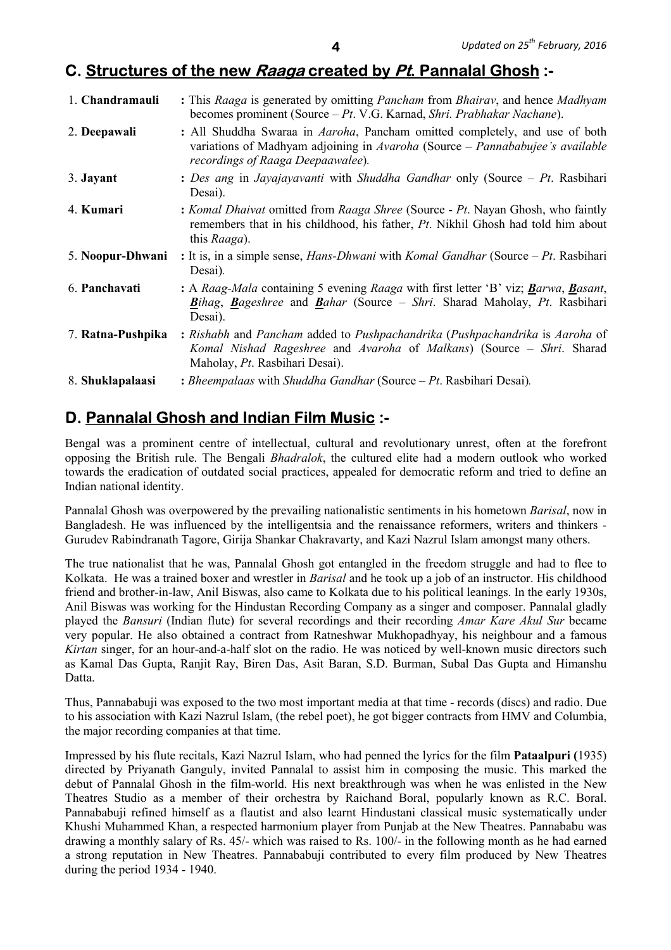## **C. Structures of the new Raaga created by Pt. Pannalal Ghosh :-**

| 1. Chandramauli   | : This Raaga is generated by omitting <i>Pancham</i> from <i>Bhairav</i> , and hence <i>Madhyam</i><br>becomes prominent (Source – Pt. V.G. Karnad, Shri. Prabhakar Nachane).                             |
|-------------------|-----------------------------------------------------------------------------------------------------------------------------------------------------------------------------------------------------------|
| 2. Deepawali      | : All Shuddha Swaraa in <i>Aaroha</i> , Pancham omitted completely, and use of both<br>variations of Madhyam adjoining in Avaroha (Source – Pannababujee's available<br>recordings of Raaga Deepaawalee). |
| 3. Jayant         | : Des ang in Jayajayavanti with Shuddha Gandhar only (Source – Pt. Rasbihari<br>Desai).                                                                                                                   |
| 4. Kumari         | : Komal Dhaivat omitted from Raaga Shree (Source - Pt. Nayan Ghosh, who faintly<br>remembers that in his childhood, his father, Pt. Nikhil Ghosh had told him about<br>this Raaga).                       |
| 5. Noopur-Dhwani  | : It is, in a simple sense, <i>Hans-Dhwani</i> with <i>Komal Gandhar</i> (Source $-Pt$ . Rasbihari<br>Desai).                                                                                             |
| 6. Panchavati     | : A Raag-Mala containing 5 evening Raaga with first letter 'B' viz; Barwa, Basant,<br>Bihag, Bageshree and Bahar (Source – Shri. Sharad Maholay, Pt. Rasbihari<br>Desai).                                 |
| 7. Ratna-Pushpika | : Rishabh and Pancham added to Pushpachandrika (Pushpachandrika is Aaroha of<br>Komal Nishad Rageshree and Avaroha of Malkans) (Source - Shri. Sharad<br>Maholay, Pt. Rasbihari Desai).                   |
| 8. Shuklapalaasi  | : Bheempalaas with Shuddha Gandhar (Source $-Pt$ . Rasbihari Desai).                                                                                                                                      |

## **D. Pannalal Ghosh and Indian Film Music :-**

Bengal was a prominent centre of intellectual, cultural and revolutionary unrest, often at the forefront opposing the British rule. The Bengali *Bhadralok*, the cultured elite had a modern outlook who worked towards the eradication of outdated social practices, appealed for democratic reform and tried to define an Indian national identity.

Pannalal Ghosh was overpowered by the prevailing nationalistic sentiments in his hometown *Barisal*, now in Bangladesh. He was influenced by the intelligentsia and the renaissance reformers, writers and thinkers - Gurudev Rabindranath Tagore, Girija Shankar Chakravarty, and Kazi Nazrul Islam amongst many others.

The true nationalist that he was, Pannalal Ghosh got entangled in the freedom struggle and had to flee to Kolkata. He was a trained boxer and wrestler in *Barisal* and he took up a job of an instructor. His childhood friend and brother-in-law, Anil Biswas, also came to Kolkata due to his political leanings. In the early 1930s, Anil Biswas was working for the Hindustan Recording Company as a singer and composer. Pannalal gladly played the *Bansuri* (Indian flute) for several recordings and their recording *Amar Kare Akul Sur* became very popular. He also obtained a contract from Ratneshwar Mukhopadhyay, his neighbour and a famous *Kirtan* singer, for an hour-and-a-half slot on the radio. He was noticed by well-known music directors such as Kamal Das Gupta, Ranjit Ray, Biren Das, Asit Baran, S.D. Burman, Subal Das Gupta and Himanshu Datta.

Thus, Pannababuji was exposed to the two most important media at that time - records (discs) and radio. Due to his association with Kazi Nazrul Islam, (the rebel poet), he got bigger contracts from HMV and Columbia, the major recording companies at that time.

Impressed by his flute recitals, Kazi Nazrul Islam, who had penned the lyrics for the film **Pataalpuri (**1935) directed by Priyanath Ganguly, invited Pannalal to assist him in composing the music. This marked the debut of Pannalal Ghosh in the film-world. His next breakthrough was when he was enlisted in the New Theatres Studio as a member of their orchestra by Raichand Boral, popularly known as R.C. Boral. Pannababuji refined himself as a flautist and also learnt Hindustani classical music systematically under Khushi Muhammed Khan, a respected harmonium player from Punjab at the New Theatres. Pannababu was drawing a monthly salary of Rs. 45/- which was raised to Rs. 100/- in the following month as he had earned a strong reputation in New Theatres. Pannababuji contributed to every film produced by New Theatres during the period 1934 - 1940.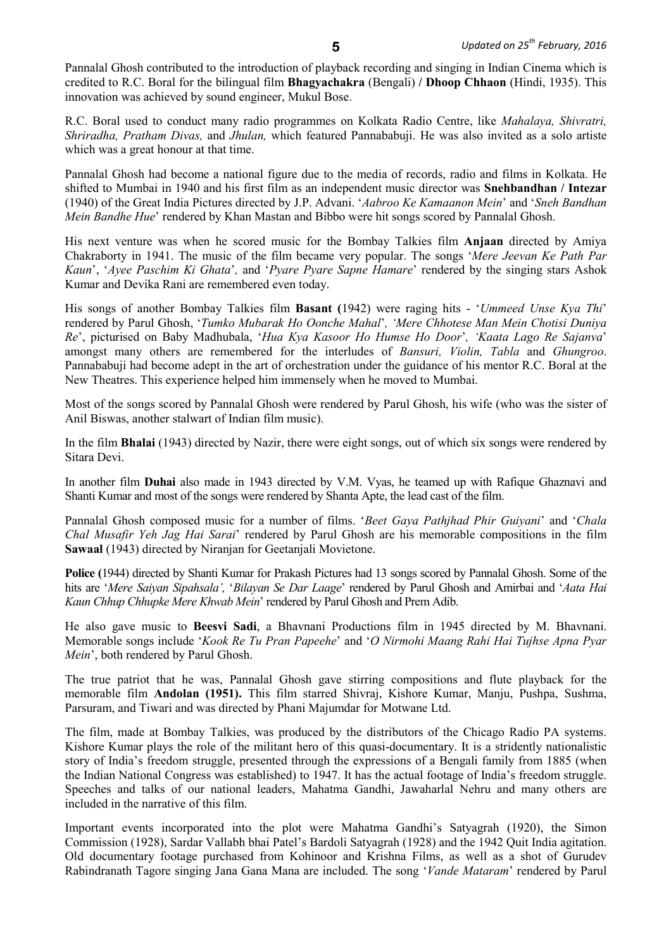Pannalal Ghosh contributed to the introduction of playback recording and singing in Indian Cinema which is credited to R.C. Boral for the bilingual film **Bhagyachakra** (Bengali) **/ Dhoop Chhaon** (Hindi, 1935). This innovation was achieved by sound engineer, Mukul Bose.

R.C. Boral used to conduct many radio programmes on Kolkata Radio Centre, like *Mahalaya, Shivratri, Shriradha, Pratham Divas,* and *Jhulan,* which featured Pannababuji. He was also invited as a solo artiste which was a great honour at that time.

Pannalal Ghosh had become a national figure due to the media of records, radio and films in Kolkata. He shifted to Mumbai in 1940 and his first film as an independent music director was **Snehbandhan / Intezar** (1940) of the Great India Pictures directed by J.P. Advani. '*Aabroo Ke Kamaanon Mein*' and '*Sneh Bandhan Mein Bandhe Hue*' rendered by Khan Mastan and Bibbo were hit songs scored by Pannalal Ghosh.

His next venture was when he scored music for the Bombay Talkies film **Anjaan** directed by Amiya Chakraborty in 1941. The music of the film became very popular. The songs '*Mere Jeevan Ke Path Par Kaun*', '*Ayee Paschim Ki Ghata*'*,* and '*Pyare Pyare Sapne Hamare*' rendered by the singing stars Ashok Kumar and Devika Rani are remembered even today.

His songs of another Bombay Talkies film **Basant (**1942) were raging hits - '*Ummeed Unse Kya Thi*' rendered by Parul Ghosh, '*Tumko Mubarak Ho Oonche Mahal*'*, 'Mere Chhotese Man Mein Chotisi Duniya Re*', picturised on Baby Madhubala, '*Hua Kya Kasoor Ho Humse Ho Door*'*, 'Kaata Lago Re Sajanva*' amongst many others are remembered for the interludes of *Bansuri, Violin, Tabla* and *Ghungroo*. Pannababuji had become adept in the art of orchestration under the guidance of his mentor R.C. Boral at the New Theatres. This experience helped him immensely when he moved to Mumbai.

Most of the songs scored by Pannalal Ghosh were rendered by Parul Ghosh, his wife (who was the sister of Anil Biswas, another stalwart of Indian film music).

In the film **Bhalai** (1943) directed by Nazir, there were eight songs, out of which six songs were rendered by Sitara Devi.

In another film **Duhai** also made in 1943 directed by V.M. Vyas, he teamed up with Rafique Ghaznavi and Shanti Kumar and most of the songs were rendered by Shanta Apte, the lead cast of the film.

Pannalal Ghosh composed music for a number of films. '*Beet Gaya Pathjhad Phir Guiyani*' and '*Chala Chal Musafir Yeh Jag Hai Sarai*' rendered by Parul Ghosh are his memorable compositions in the film **Sawaal** (1943) directed by Niranjan for Geetanjali Movietone.

**Police (**1944) directed by Shanti Kumar for Prakash Pictures had 13 songs scored by Pannalal Ghosh. Some of the hits are '*Mere Saiyan Sipahsala',* '*Bilayan Se Dar Laage*' rendered by Parul Ghosh and Amirbai and '*Aata Hai Kaun Chhup Chhupke Mere Khwab Mein*' rendered by Parul Ghosh and Prem Adib.

He also gave music to **Beesvi Sadi**, a Bhavnani Productions film in 1945 directed by M. Bhavnani. Memorable songs include '*Kook Re Tu Pran Papeehe*' and '*O Nirmohi Maang Rahi Hai Tujhse Apna Pyar Mein*', both rendered by Parul Ghosh.

The true patriot that he was, Pannalal Ghosh gave stirring compositions and flute playback for the memorable film **Andolan (1951).** This film starred Shivraj, Kishore Kumar, Manju, Pushpa, Sushma, Parsuram, and Tiwari and was directed by Phani Majumdar for Motwane Ltd.

The film, made at Bombay Talkies, was produced by the distributors of the Chicago Radio PA systems. Kishore Kumar plays the role of the militant hero of this quasi-documentary. It is a stridently nationalistic story of India's freedom struggle, presented through the expressions of a Bengali family from 1885 (when the Indian National Congress was established) to 1947. It has the actual footage of India's freedom struggle. Speeches and talks of our national leaders, Mahatma Gandhi, Jawaharlal Nehru and many others are included in the narrative of this film.

Important events incorporated into the plot were Mahatma Gandhi's Satyagrah (1920), the Simon Commission (1928), Sardar Vallabh bhai Patel's Bardoli Satyagrah (1928) and the 1942 Quit India agitation. Old documentary footage purchased from Kohinoor and Krishna Films, as well as a shot of Gurudev Rabindranath Tagore singing Jana Gana Mana are included. The song '*Vande Mataram*' rendered by Parul